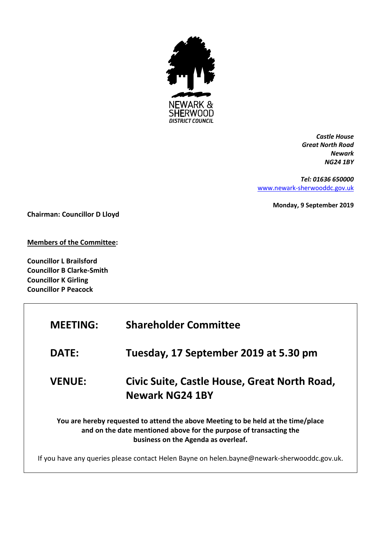

*Castle House Great North Road Newark NG24 1BY*

*Tel: 01636 650000* [www.newark-sherwooddc.gov.uk](http://www.newark-sherwooddc.gov.uk/)

**Monday, 9 September 2019**

**Chairman: Councillor D Lloyd**

**Members of the Committee:**

**Councillor L Brailsford Councillor B Clarke-Smith Councillor K Girling Councillor P Peacock**

| <b>MEETING:</b>                                                                                                                                                                                | <b>Shareholder Committee</b>                                           |  |
|------------------------------------------------------------------------------------------------------------------------------------------------------------------------------------------------|------------------------------------------------------------------------|--|
| <b>DATE:</b>                                                                                                                                                                                   | Tuesday, 17 September 2019 at 5.30 pm                                  |  |
| <b>VENUE:</b>                                                                                                                                                                                  | Civic Suite, Castle House, Great North Road,<br><b>Newark NG24 1BY</b> |  |
| You are hereby requested to attend the above Meeting to be held at the time/place<br>and on the date mentioned above for the purpose of transacting the<br>business on the Agenda as overleaf. |                                                                        |  |
| If you have any queries please contact Helen Bayne on helen.bayne@newark-sherwooddc.gov.uk.                                                                                                    |                                                                        |  |